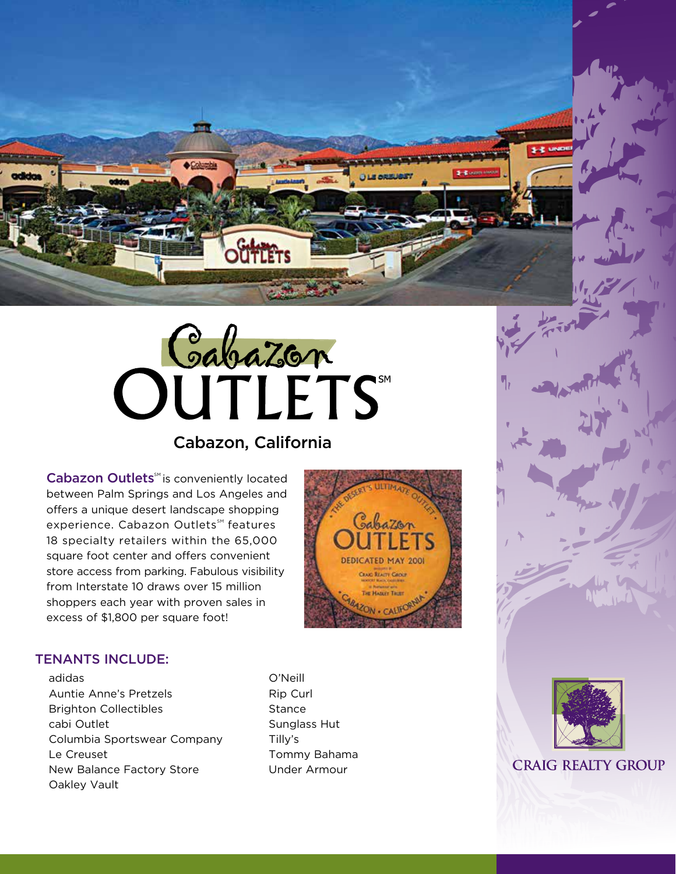



# Cabazon, California

Cabazon Outlets<sup>M</sup> is conveniently located between Palm Springs and Los Angeles and offers a unique desert landscape shopping experience. Cabazon Outlets<sup>™</sup> features 18 specialty retailers within the 65,000 square foot center and offers convenient store access from parking. Fabulous visibility from Interstate 10 draws over 15 million shoppers each year with proven sales in excess of \$1,800 per square foot!



## TENANTS INCLUDE:

adidas Auntie Anne's Pretzels Brighton Collectibles cabi Outlet Columbia Sportswear Company Le Creuset New Balance Factory Store Oakley Vault

O'Neill Rip Curl **Stance** Sunglass Hut Tilly's Tommy Bahama Under Armour



**CRAIG REALTY GROUP**